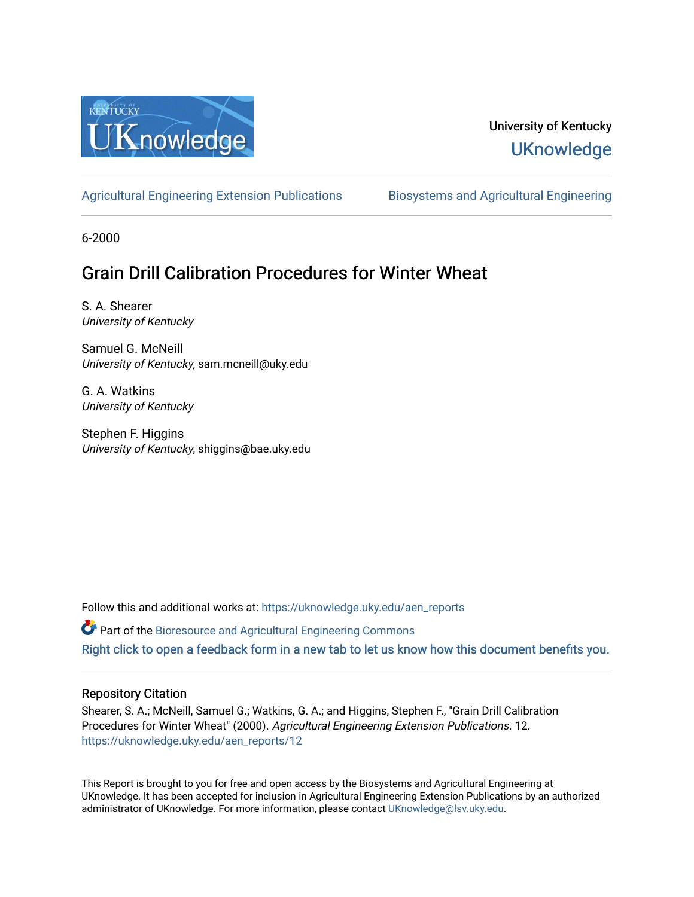

# University of Kentucky **UKnowledge**

[Agricultural Engineering Extension Publications](https://uknowledge.uky.edu/aen_reports) [Biosystems and Agricultural Engineering](https://uknowledge.uky.edu/bae) 

6-2000

# Grain Drill Calibration Procedures for Winter Wheat

S. A. Shearer University of Kentucky

Samuel G. McNeill University of Kentucky, sam.mcneill@uky.edu

G. A. Watkins University of Kentucky

Stephen F. Higgins University of Kentucky, shiggins@bae.uky.edu

Follow this and additional works at: [https://uknowledge.uky.edu/aen\\_reports](https://uknowledge.uky.edu/aen_reports?utm_source=uknowledge.uky.edu%2Faen_reports%2F12&utm_medium=PDF&utm_campaign=PDFCoverPages)

Part of the [Bioresource and Agricultural Engineering Commons](http://network.bepress.com/hgg/discipline/1056?utm_source=uknowledge.uky.edu%2Faen_reports%2F12&utm_medium=PDF&utm_campaign=PDFCoverPages)

[Right click to open a feedback form in a new tab to let us know how this document benefits you.](https://uky.az1.qualtrics.com/jfe/form/SV_9mq8fx2GnONRfz7)

## Repository Citation

Shearer, S. A.; McNeill, Samuel G.; Watkins, G. A.; and Higgins, Stephen F., "Grain Drill Calibration Procedures for Winter Wheat" (2000). Agricultural Engineering Extension Publications. 12. [https://uknowledge.uky.edu/aen\\_reports/12](https://uknowledge.uky.edu/aen_reports/12?utm_source=uknowledge.uky.edu%2Faen_reports%2F12&utm_medium=PDF&utm_campaign=PDFCoverPages) 

This Report is brought to you for free and open access by the Biosystems and Agricultural Engineering at UKnowledge. It has been accepted for inclusion in Agricultural Engineering Extension Publications by an authorized administrator of UKnowledge. For more information, please contact [UKnowledge@lsv.uky.edu](mailto:UKnowledge@lsv.uky.edu).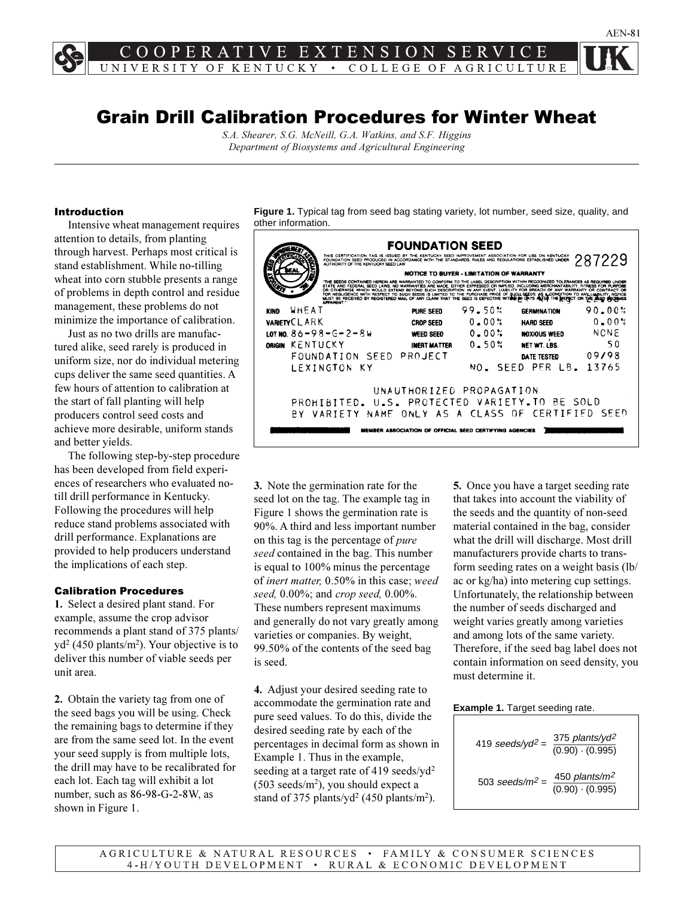# Grain Drill Calibration Procedures for Winter Wheat

*S.A. Shearer, S.G. McNeill, G.A. Watkins, and S.F. Higgins Department of Biosystems and Agricultural Engineering*

### Introduction

Intensive wheat management requires attention to details, from planting through harvest. Perhaps most critical is stand establishment. While no-tilling wheat into corn stubble presents a range of problems in depth control and residue management, these problems do not minimize the importance of calibration.

Just as no two drills are manufactured alike, seed rarely is produced in uniform size, nor do individual metering cups deliver the same seed quantities. A few hours of attention to calibration at the start of fall planting will help producers control seed costs and achieve more desirable, uniform stands and better yields.

The following step-by-step procedure has been developed from field experiences of researchers who evaluated notill drill performance in Kentucky. Following the procedures will help reduce stand problems associated with drill performance. Explanations are provided to help producers understand the implications of each step.

### Calibration Procedures

**1.** Select a desired plant stand. For example, assume the crop advisor recommends a plant stand of 375 plants/ yd<sup>2</sup> (450 plants/m<sup>2</sup>). Your objective is to deliver this number of viable seeds per unit area.

**2.** Obtain the variety tag from one of the seed bags you will be using. Check the remaining bags to determine if they are from the same seed lot. In the event your seed supply is from multiple lots, the drill may have to be recalibrated for each lot. Each tag will exhibit a lot number, such as 86-98-G-2-8W, as shown in Figure 1.

**Figure 1.** Typical tag from seed bag stating variety, lot number, seed size, quality, and other information.



**3.** Note the germination rate for the seed lot on the tag. The example tag in Figure 1 shows the germination rate is 90%. A third and less important number on this tag is the percentage of *pure seed* contained in the bag. This number is equal to 100% minus the percentage of *inert matter,* 0.50% in this case; *weed seed,* 0.00%; and *crop seed,* 0.00%. These numbers represent maximums and generally do not vary greatly among varieties or companies. By weight, 99.50% of the contents of the seed bag is seed.

**4.** Adjust your desired seeding rate to accommodate the germination rate and pure seed values. To do this, divide the desired seeding rate by each of the percentages in decimal form as shown in Example 1. Thus in the example, seeding at a target rate of 419 seeds/yd<sup>2</sup>  $(503 \text{ seeds/m}^2)$ , you should expect a stand of 375 plants/yd<sup>2</sup> (450 plants/m<sup>2</sup>).

**5.** Once you have a target seeding rate that takes into account the viability of the seeds and the quantity of non-seed material contained in the bag, consider what the drill will discharge. Most drill manufacturers provide charts to transform seeding rates on a weight basis (lb/ ac or kg/ha) into metering cup settings. Unfortunately, the relationship between the number of seeds discharged and weight varies greatly among varieties and among lots of the same variety. Therefore, if the seed bag label does not contain information on seed density, you must determine it.

#### **Example 1.** Target seeding rate.

419 seeds/yd<sup>2</sup> = 
$$
\frac{375 \text{ plants/yd}^2}{(0.90) \cdot (0.995)}
$$
  
503 seeds/m<sup>2</sup> =  $\frac{450 \text{ plants/m}^2}{(0.90) \cdot (0.995)}$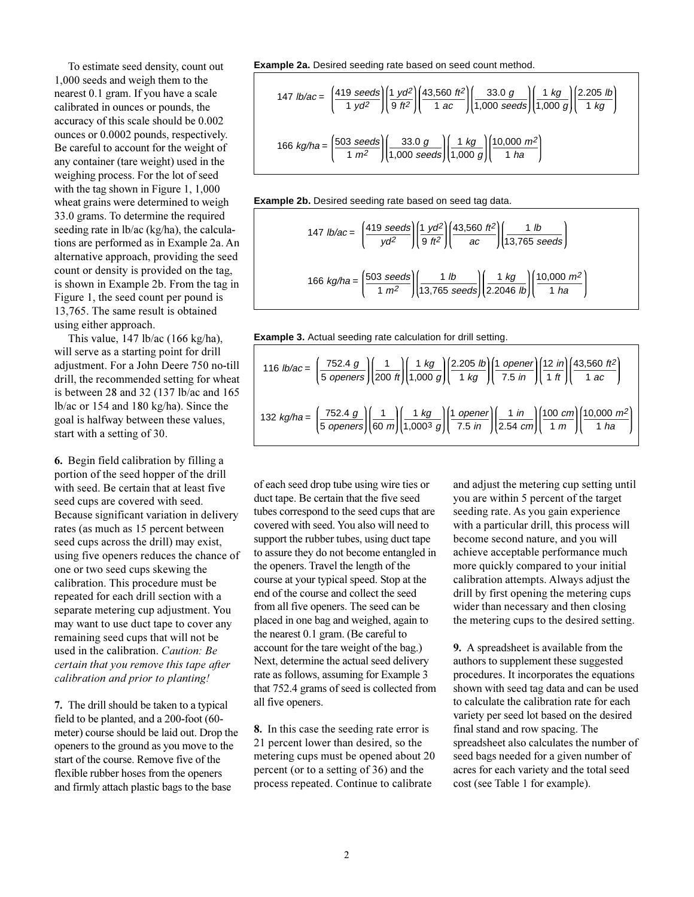To estimate seed density, count out 1,000 seeds and weigh them to the nearest 0.1 gram. If you have a scale calibrated in ounces or pounds, the accuracy of this scale should be 0.002 ounces or 0.0002 pounds, respectively. Be careful to account for the weight of any container (tare weight) used in the weighing process. For the lot of seed with the tag shown in Figure 1, 1,000 wheat grains were determined to weigh 33.0 grams. To determine the required seeding rate in lb/ac (kg/ha), the calculations are performed as in Example 2a. An alternative approach, providing the seed count or density is provided on the tag, is shown in Example 2b. From the tag in Figure 1, the seed count per pound is 13,765. The same result is obtained using either approach.

This value, 147 lb/ac (166 kg/ha), will serve as a starting point for drill adjustment. For a John Deere 750 no-till drill, the recommended setting for wheat is between 28 and 32 (137 lb/ac and 165 lb/ac or 154 and 180 kg/ha). Since the goal is halfway between these values, start with a setting of 30.

**6.** Begin field calibration by filling a portion of the seed hopper of the drill with seed. Be certain that at least five seed cups are covered with seed. Because significant variation in delivery rates (as much as 15 percent between seed cups across the drill) may exist, using five openers reduces the chance of one or two seed cups skewing the calibration. This procedure must be repeated for each drill section with a separate metering cup adjustment. You may want to use duct tape to cover any remaining seed cups that will not be used in the calibration. *Caution: Be certain that you remove this tape after calibration and prior to planting!*

**7.** The drill should be taken to a typical field to be planted, and a 200-foot (60 meter) course should be laid out. Drop the openers to the ground as you move to the start of the course. Remove five of the flexible rubber hoses from the openers and firmly attach plastic bags to the base

**Example 2a.** Desired seeding rate based on seed count method.

$$
147 \text{ lb/ac} = \left(\frac{419 \text{ seeds}}{1 \text{ yd}^2}\right) \left(\frac{1 \text{ yd}^2}{9 \text{ ft}^2}\right) \left(\frac{43,560 \text{ ft}^2}{1 \text{ ac}}\right) \left(\frac{33.0 \text{ g}}{1,000 \text{ seeds}}\right) \left(\frac{1 \text{ kg}}{1,000 \text{ g}}\right) \left(\frac{2.205 \text{ lb}}{1 \text{ kg}}\right)
$$
\n
$$
166 \text{ kg/ha} = \left(\frac{503 \text{ seeds}}{1 \text{ m}^2}\right) \left(\frac{33.0 \text{ g}}{1,000 \text{ seeds}}\right) \left(\frac{1 \text{ kg}}{1,000 \text{ g}}\right) \left(\frac{10,000 \text{ m}^2}{1 \text{ ha}}\right)
$$

**Example 2b.** Desired seeding rate based on seed tag data.

147 Ib/ac = 
$$
\left(\frac{419 \text{ seeds}}{yd^2}\right) \left(\frac{1 \text{ y}d^2}{9 \text{ ft}^2}\right) \left(\frac{43,560 \text{ ft}^2}{ac}\right) \left(\frac{1 \text{ lb}}{13,765 \text{ seeds}}\right)
$$
  
166 kg/ha =  $\left(\frac{503 \text{ seeds}}{1 \text{ m}^2}\right) \left(\frac{1 \text{ lb}}{13,765 \text{ seeds}}\right) \left(\frac{1 \text{ kg}}{2.2046 \text{ lb}}\right) \left(\frac{10,000 \text{ m}^2}{1 \text{ ha}}\right)$ 



| 116 <i>lb/ac</i> = $\left(\frac{752.4 \ g}{5 \ openers}\right)\left(\frac{1}{200 \ fl}\right)\left(\frac{1 \ kg}{1,000 \ g}\right)\left(\frac{2.205 \ lb}{1 \ kg}\right)\left(\frac{1 \ opener}{7.5 \ in}\right)\left(\frac{12 \ in}{1 \ fl}\right)\left(\frac{43,560 \ ft^2}{1 \ ac}\right)$ |
|-----------------------------------------------------------------------------------------------------------------------------------------------------------------------------------------------------------------------------------------------------------------------------------------------|
| 132 kg/ha = $\left(\frac{752.4 \ g}{5 \ openers}\right)\left(\frac{1}{60 \ m}\right)\left(\frac{1 \ kg}{1,000^3 \ g}\right)\left(\frac{1 \ opener}{7.5 \ in}\right)\left(\frac{1 \ in}{2.54 \ cm}\right)\left(\frac{100 \ cm}{1 \ m}\right)\left(\frac{10,000 \ m^2}{1 \ ha}\right)$          |

of each seed drop tube using wire ties or duct tape. Be certain that the five seed tubes correspond to the seed cups that are covered with seed. You also will need to support the rubber tubes, using duct tape to assure they do not become entangled in the openers. Travel the length of the course at your typical speed. Stop at the end of the course and collect the seed from all five openers. The seed can be placed in one bag and weighed, again to the nearest 0.1 gram. (Be careful to account for the tare weight of the bag.) Next, determine the actual seed delivery rate as follows, assuming for Example 3 that 752.4 grams of seed is collected from all five openers.

**8.** In this case the seeding rate error is 21 percent lower than desired, so the metering cups must be opened about 20 percent (or to a setting of 36) and the process repeated. Continue to calibrate

and adjust the metering cup setting until you are within 5 percent of the target seeding rate. As you gain experience with a particular drill, this process will become second nature, and you will achieve acceptable performance much more quickly compared to your initial calibration attempts. Always adjust the drill by first opening the metering cups wider than necessary and then closing the metering cups to the desired setting.

**9.** A spreadsheet is available from the authors to supplement these suggested procedures. It incorporates the equations shown with seed tag data and can be used to calculate the calibration rate for each variety per seed lot based on the desired final stand and row spacing. The spreadsheet also calculates the number of seed bags needed for a given number of acres for each variety and the total seed cost (see Table 1 for example).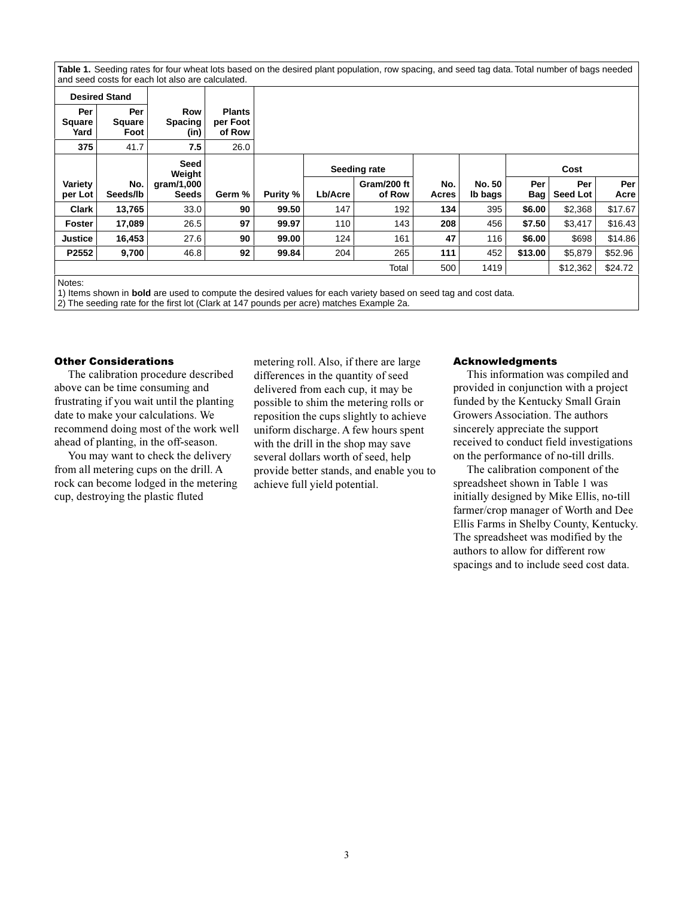**Table 1.** Seeding rates for four wheat lots based on the desired plant population, row spacing, and seed tag data. Total number of bags needed and seed costs for each lot also are calculated.

| <b>Desired Stand</b>         |                              |                                      |                                     |          |              |             |       |               |         |                 |         |  |
|------------------------------|------------------------------|--------------------------------------|-------------------------------------|----------|--------------|-------------|-------|---------------|---------|-----------------|---------|--|
| Per<br><b>Square</b><br>Yard | Per<br><b>Square</b><br>Foot | <b>Row</b><br><b>Spacing</b><br>(in) | <b>Plants</b><br>per Foot<br>of Row |          |              |             |       |               |         |                 |         |  |
| 375                          | 41.7                         | 7.5                                  | 26.0                                |          |              |             |       |               |         |                 |         |  |
|                              |                              | Seed<br>Weight                       |                                     |          | Seeding rate |             |       |               |         | Cost            |         |  |
| Variety                      | No.                          | gram/1,000                           |                                     |          |              | Gram/200 ft | No.   | <b>No. 50</b> | Per     | Per             | Per     |  |
| per Lot                      | Seeds/lb                     | <b>Seeds</b>                         | Germ %                              | Purity % | Lb/Acre      | of Row      | Acres | Ib bags       | Bag     | <b>Seed Lot</b> | Acre    |  |
| <b>Clark</b>                 | 13,765                       | 33.0                                 | 90                                  | 99.50    | 147          | 192         | 134   | 395           | \$6.00  | \$2,368         | \$17.67 |  |
| <b>Foster</b>                | 17,089                       | 26.5                                 | 97                                  | 99.97    | 110          | 143         | 208   | 456           | \$7.50  | \$3,417         | \$16.43 |  |
| <b>Justice</b>               | 16,453                       | 27.6                                 | 90                                  | 99.00    | 124          | 161         | 47    | 116           | \$6.00  | \$698           | \$14.86 |  |
| P2552                        | 9,700                        | 46.8                                 | 92                                  | 99.84    | 204          | 265         | 111   | 452           | \$13.00 | \$5,879         | \$52.96 |  |
|                              |                              |                                      |                                     |          |              | Total       | 500   | 1419          |         | \$12,362        | \$24.72 |  |

Notes:

1) Items shown in **bold** are used to compute the desired values for each variety based on seed tag and cost data.

2) The seeding rate for the first lot (Clark at 147 pounds per acre) matches Example 2a.

### Other Considerations

The calibration procedure described above can be time consuming and frustrating if you wait until the planting date to make your calculations. We recommend doing most of the work well ahead of planting, in the off-season.

You may want to check the delivery from all metering cups on the drill. A rock can become lodged in the metering cup, destroying the plastic fluted

metering roll. Also, if there are large differences in the quantity of seed delivered from each cup, it may be possible to shim the metering rolls or reposition the cups slightly to achieve uniform discharge. A few hours spent with the drill in the shop may save several dollars worth of seed, help provide better stands, and enable you to achieve full yield potential.

#### Acknowledgments

This information was compiled and provided in conjunction with a project funded by the Kentucky Small Grain Growers Association. The authors sincerely appreciate the support received to conduct field investigations on the performance of no-till drills.

The calibration component of the spreadsheet shown in Table 1 was initially designed by Mike Ellis, no-till farmer/crop manager of Worth and Dee Ellis Farms in Shelby County, Kentucky. The spreadsheet was modified by the authors to allow for different row spacings and to include seed cost data.